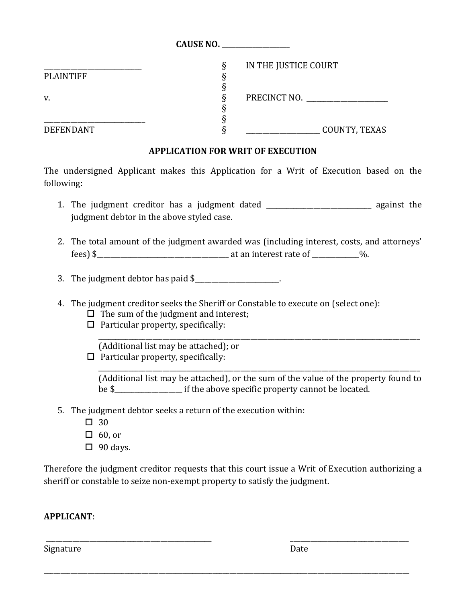|                  | CAUSE NO. ____________________ |  |
|------------------|--------------------------------|--|
|                  | IN THE JUSTICE COURT<br>♦      |  |
| <b>PLAINTIFF</b> |                                |  |
|                  |                                |  |
| v.               | PRECINCT NO.                   |  |
|                  |                                |  |
|                  |                                |  |
| <b>DEFENDANT</b> | COUNTY, TEXAS                  |  |

## **APPLICATION FOR WRIT OF EXECUTION**

The undersigned Applicant makes this Application for a Writ of Execution based on the following:

- 1. The judgment creditor has a judgment dated \_\_\_\_\_\_\_\_\_\_\_\_\_\_\_\_\_\_\_\_\_\_\_\_\_\_\_\_\_\_\_ against the judgment debtor in the above styled case.
- 2. The total amount of the judgment awarded was (including interest, costs, and attorneys' fees) \$\_\_\_\_\_\_\_\_\_\_\_\_\_\_\_\_\_\_\_\_\_\_\_\_\_\_\_\_\_\_\_\_\_\_\_\_\_\_\_ at an interest rate of \_\_\_\_\_\_\_\_\_\_\_\_\_\_%.
- 3. The judgment debtor has paid  $\frac{1}{2}$
- 4. The judgment creditor seeks the Sheriff or Constable to execute on (select one):
	- $\Box$  The sum of the judgment and interest;
	- $\Box$  Particular property, specifically:

(Additional list may be attached); or  $\Box$  Particular property, specifically:

(Additional list may be attached), or the sum of the value of the property found to be \$\_\_\_\_\_\_\_\_\_\_\_\_\_\_\_\_\_\_\_\_ if the above specific property cannot be located.

\_\_\_\_\_\_\_\_\_\_\_\_\_\_\_\_\_\_\_\_\_\_\_\_\_\_\_\_\_\_\_\_\_\_\_\_\_\_\_\_\_\_\_\_\_\_\_\_\_\_\_\_\_\_\_\_\_\_\_\_\_\_\_\_\_\_\_\_\_\_\_\_\_\_\_\_\_\_\_\_\_\_\_\_\_\_\_\_\_\_\_\_\_\_\_

\_\_\_\_\_\_\_\_\_\_\_\_\_\_\_\_\_\_\_\_\_\_\_\_\_\_\_\_\_\_\_\_\_\_\_\_\_\_\_\_\_\_\_\_\_\_\_\_\_\_\_\_\_\_\_\_\_\_\_\_\_\_\_\_\_\_\_\_\_\_\_\_\_\_\_\_\_\_\_\_\_\_\_\_\_\_\_\_\_\_\_\_\_\_\_

- 5. The judgment debtor seeks a return of the execution within:
	- $\Box$  30
	- $\Box$  60, or
	- $\Box$  90 days.

Therefore the judgment creditor requests that this court issue a Writ of Execution authorizing a sheriff or constable to seize non-exempt property to satisfy the judgment.

\_\_\_\_\_\_\_\_\_\_\_\_\_\_\_\_\_\_\_\_\_\_\_\_\_\_\_\_\_\_\_\_\_\_\_\_\_\_\_\_\_\_\_\_\_\_\_\_\_ \_\_\_\_\_\_\_\_\_\_\_\_\_\_\_\_\_\_\_\_\_\_\_\_\_\_\_\_\_\_\_\_\_\_\_

\_\_\_\_\_\_\_\_\_\_\_\_\_\_\_\_\_\_\_\_\_\_\_\_\_\_\_\_\_\_\_\_\_\_\_\_\_\_\_\_\_\_\_\_\_\_\_\_\_\_\_\_\_\_\_\_\_\_\_\_\_\_\_\_\_\_\_\_\_\_\_\_\_\_\_\_\_\_\_\_\_\_\_\_\_\_\_\_\_\_\_\_\_\_\_\_\_\_\_\_\_\_\_\_\_\_\_\_

## **APPLICANT**:

Signature Date